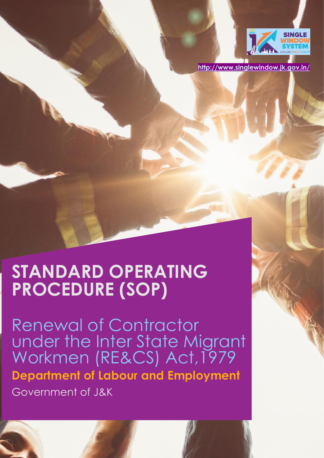

**<http://www.singlewindow.jk.gov.in/>**

# **STANDARD OPERATING PROCEDURE (SOP)**

Renewal of Contractor under the Inter State Migrant Workmen (RE&CS) Act,1979 **Department of Labour and Employment**  Government of J&K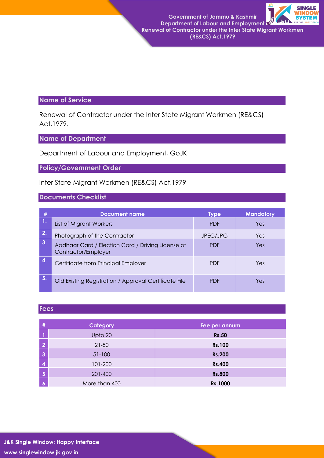**Government of Jammu & Kashmir Department of Labour and Employment Renewal of Contractor under the Inter State Migrant Workmen** 



**(RE&CS) Act,1979**

## **Name of Service**

Renewal of Contractor under the Inter State Migrant Workmen (RE&CS) Act,1979.

## **Name of Department**

Department of Labour and Employment, GoJK

## **Policy/Government Order**

Inter State Migrant Workmen (RE&CS) Act,1979

#### **Documents Checklist**

|    | <b>Document name</b>                                                     | Type       | <b>Mandatory</b> |
|----|--------------------------------------------------------------------------|------------|------------------|
|    | List of Migrant Workers                                                  | <b>PDF</b> | Yes              |
| 2. | Photograph of the Contractor                                             | JPEG/JPG   | Yes              |
| 3. | Aadhaar Card / Election Card / Driving License of<br>Contractor/Employer | <b>PDF</b> | Yes              |
| 4. | Certificate from Principal Employer                                      | <b>PDF</b> | Yes              |
| 5. | Old Existing Registration / Approval Certificate File                    | <b>PDF</b> | Yes              |

#### **Fees**

| #                       | Category      | Fee per annum |
|-------------------------|---------------|---------------|
|                         | Upto 20       | <b>Rs.50</b>  |
| $\overline{2}$          | $21 - 50$     | <b>Rs.100</b> |
| $\overline{3}$          | $51 - 100$    | <b>Rs.200</b> |
| $\overline{\mathbf{4}}$ | 101-200       | <b>Rs.400</b> |
| $\overline{\mathbf{5}}$ | 201-400       | <b>Rs.800</b> |
| $\boldsymbol{6}$        | More than 400 | Rs.1000       |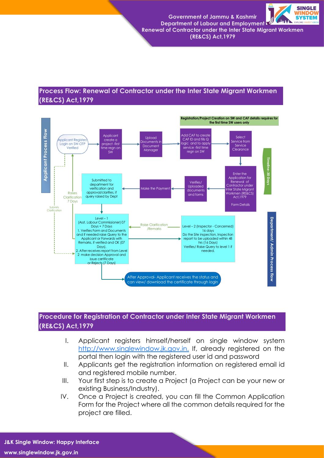

 **Renewal of Contractor under the Inter State Migrant Workmen (RE&CS) Act,1979**

## **Process Flow: Renewal of Contractor under the Inter State Migrant Workmen (RE&CS) Act,1979**



## **Procedure for Registration of Contractor under Inter State Migrant Workmen (RE&CS) Act,1979**

- I. Applicant registers himself/herself on single window system [http://www.singlewindow.jk.gov.in.](http://www.singlewindow.jk.gov.in./) If, already registered on the portal then login with the registered user id and password
- II. Applicants get the registration information on registered email id and registered mobile number.
- III. Your first step is to create a Project (a Project can be your new or existing Business/Industry).
- IV. Once a Project is created, you can fill the Common Application Form for the Project where all the common details required for the project are filled.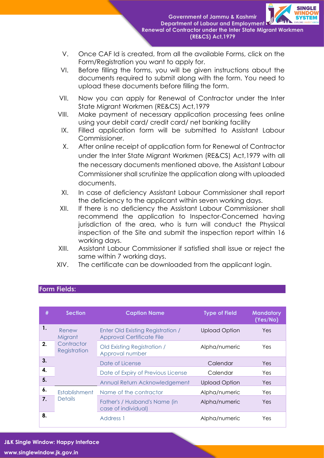

**Government of Jammu & Kashmir Department of Labour and Employment Renewal of Contractor under the Inter State Migrant Workmen (RE&CS) Act,1979**

- V. Once CAF Id is created, from all the available Forms, click on the Form/Registration you want to apply for.
- VI. Before filling the forms, you will be given instructions about the documents required to submit along with the form. You need to upload these documents before filling the form.
- VII. Now you can apply for Renewal of Contractor under the Inter State Migrant Workmen (RE&CS) Act,1979
- VIII. Make payment of necessary application processing fees online using your debit card/ credit card/ net banking facility
- IX. Filled application form will be submitted to Assistant Labour Commissioner.
- X. After online receipt of application form for Renewal of Contractor under the Inter State Migrant Workmen (RE&CS) Act,1979 with all the necessary documents mentioned above, the Assistant Labour Commissioner shall scrutinize the application along with uploaded documents.
- XI. In case of deficiency Assistant Labour Commissioner shall report the deficiency to the applicant within seven working days.
- XII. If there is no deficiency the Assistant Labour Commissioner shall recommend the application to Inspector-Concerned having jurisdiction of the area, who is turn will conduct the Physical inspection of the Site and submit the inspection report within 16 working days.
- XIII. Assistant Labour Commissioner if satisfied shall issue or reject the same within 7 working days.
- XIV. The certificate can be downloaded from the applicant login.

| #  | <b>Section</b>                                 | <b>Caption Name</b>                                                   | <b>Type of Field</b> | <b>Mandatory</b><br>(Yes/No) |
|----|------------------------------------------------|-----------------------------------------------------------------------|----------------------|------------------------------|
| 1. | Renew<br>Migrant<br>Contractor<br>Registration | Enter Old Existing Registration /<br><b>Approval Certificate File</b> | <b>Upload Option</b> | Yes.                         |
| 2. |                                                | Old Existing Registration /<br>Approval number                        | Alpha/numeric        | Yes                          |
| 3. |                                                | Date of License                                                       | Calendar             | Yes.                         |
| 4. |                                                | Date of Expiry of Previous License                                    | Calendar             | Yes                          |
| 5. |                                                | Annual Return Acknowledgement                                         | <b>Upload Option</b> | Yes                          |
| 6. | Establishment<br><b>Details</b>                | Name of the contractor                                                | Alpha/numeric        | Yes                          |
| 7. |                                                | Father's / Husband's Name (in<br>case of individual)                  | Alpha/numeric        | <b>Yes</b>                   |
| 8. |                                                | Address 1                                                             | Alpha/numeric        | Yes                          |

## **Form Fields:**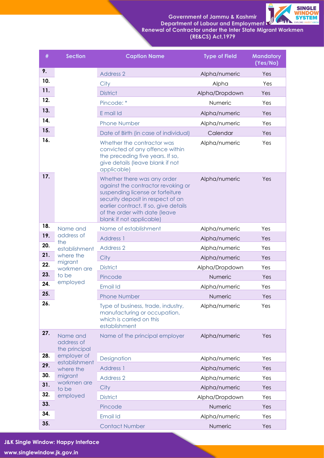**Government of Jammu & Kashmir Department of Labour and Employment** 



 **Renewal of Contractor under the Inter State Migrant Workmen (RE&CS) Act,1979**

| #   | <b>Section</b>                                                            | <b>Caption Name</b>                                                                                                                                                                                                                              | <b>Type of Field</b> | <b>Mandatory</b><br>(Yes/No) |
|-----|---------------------------------------------------------------------------|--------------------------------------------------------------------------------------------------------------------------------------------------------------------------------------------------------------------------------------------------|----------------------|------------------------------|
| 9.  |                                                                           | <b>Address 2</b>                                                                                                                                                                                                                                 | Alpha/numeric        | Yes                          |
| 10. |                                                                           | City                                                                                                                                                                                                                                             | Alpha                | Yes                          |
| 11. |                                                                           | <b>District</b>                                                                                                                                                                                                                                  | Alpha/Dropdown       | Yes                          |
| 12. |                                                                           | Pincode: *                                                                                                                                                                                                                                       | Numeric              | Yes                          |
| 13. |                                                                           | E mail Id                                                                                                                                                                                                                                        | Alpha/numeric        | Yes                          |
| 14. |                                                                           | <b>Phone Number</b>                                                                                                                                                                                                                              | Alpha/numeric        | Yes                          |
| 15. |                                                                           | Date of Birth (in case of individual)                                                                                                                                                                                                            | Calendar             | Yes                          |
| 16. |                                                                           | Whether the contractor was<br>convicted of any offence within<br>the preceding five years. If so,<br>give details (leave blank if not<br>applicable)                                                                                             | Alpha/numeric        | Yes                          |
| 17. |                                                                           | Whether there was any order<br>against the contractor revoking or<br>suspending license or forfeiture<br>security deposit in respect of an<br>earlier contract. If so, give details<br>of the order with date (leave<br>blank if not applicable) | Alpha/numeric        | Yes                          |
| 18. | Name and                                                                  | Name of establishment                                                                                                                                                                                                                            | Alpha/numeric        | Yes                          |
| 19. | address of<br>the                                                         | <b>Address 1</b>                                                                                                                                                                                                                                 | Alpha/numeric        | Yes                          |
| 20. | establishment                                                             | <b>Address 2</b>                                                                                                                                                                                                                                 | Alpha/numeric        | Yes                          |
| 21. | where the                                                                 | City                                                                                                                                                                                                                                             | Alpha/numeric        | Yes                          |
| 22. | migrant<br>workmen are                                                    | <b>District</b>                                                                                                                                                                                                                                  | Alpha/Dropdown       | Yes                          |
| 23. | to be                                                                     | Pincode                                                                                                                                                                                                                                          | Numeric              | Yes                          |
| 24. | employed                                                                  | <b>Email Id</b>                                                                                                                                                                                                                                  | Alpha/numeric        | Yes                          |
| 25. |                                                                           | <b>Phone Number</b>                                                                                                                                                                                                                              | Numeric              | Yes                          |
| 26. |                                                                           | Type of business, trade, industry,<br>manufacturing or occupation,<br>which is carried on this<br>establishment                                                                                                                                  | Alpha/numeric        | Yes                          |
| 27. | Name and<br>address of<br>the principal                                   | Name of the principal employer                                                                                                                                                                                                                   | Alpha/numeric        | Yes                          |
| 28. | employer of                                                               | Designation                                                                                                                                                                                                                                      | Alpha/numeric        | Yes                          |
| 29. | establishment<br>where the<br>migrant<br>workmen are<br>to be<br>employed | <b>Address 1</b>                                                                                                                                                                                                                                 | Alpha/numeric        | Yes                          |
| 30. |                                                                           | <b>Address 2</b>                                                                                                                                                                                                                                 | Alpha/numeric        | Yes                          |
| 31. |                                                                           | City                                                                                                                                                                                                                                             | Alpha/numeric        | Yes                          |
| 32. |                                                                           | <b>District</b>                                                                                                                                                                                                                                  | Alpha/Dropdown       | Yes                          |
| 33. |                                                                           | Pincode                                                                                                                                                                                                                                          | Numeric              | Yes                          |
| 34. |                                                                           | Email Id                                                                                                                                                                                                                                         | Alpha/numeric        | Yes                          |
| 35. |                                                                           | <b>Contact Number</b>                                                                                                                                                                                                                            | Numeric              | Yes                          |

**J&K Single Window: Happy Interface www.singlewindow.jk.gov.in**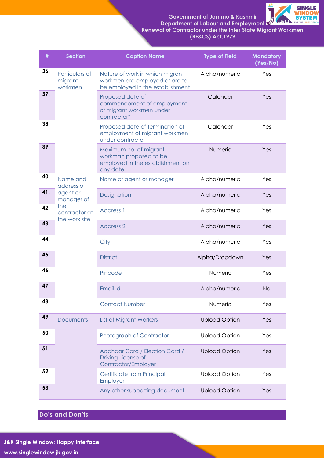**Government of Jammu & Kashmir Department of Labour and Employment** 



 **Renewal of Contractor under the Inter State Migrant Workmen (RE&CS) Act,1979**

| #   | <b>Section</b>                                                                            | <b>Caption Name</b>                                                                                   | <b>Type of Field</b> | <b>Mandatory</b><br>(Yes/No) |
|-----|-------------------------------------------------------------------------------------------|-------------------------------------------------------------------------------------------------------|----------------------|------------------------------|
| 36. | Particulars of<br>migrant<br>workmen                                                      | Nature of work in which migrant<br>workmen are employed or are to<br>be employed in the establishment | Alpha/numeric        | Yes                          |
| 37. |                                                                                           | Proposed date of<br>commencement of employment<br>of migrant workmen under<br>contractor*             | Calendar             | Yes                          |
| 38. |                                                                                           | Proposed date of termination of<br>employment of migrant workmen<br>under contractor                  | Calendar             | Yes                          |
| 39. |                                                                                           | Maximum no. of migrant<br>workman proposed to be<br>employed in the establishment on<br>any date      | Numeric              | Yes                          |
| 40. | Name and<br>address of<br>agent or<br>manager of<br>the<br>contractor at<br>the work site | Name of agent or manager                                                                              | Alpha/numeric        | Yes                          |
| 41. |                                                                                           | Designation                                                                                           | Alpha/numeric        | Yes                          |
| 42. |                                                                                           | Address 1                                                                                             | Alpha/numeric        | Yes                          |
| 43. |                                                                                           | <b>Address 2</b>                                                                                      | Alpha/numeric        | Yes                          |
| 44. |                                                                                           | City                                                                                                  | Alpha/numeric        | Yes                          |
| 45. |                                                                                           | <b>District</b>                                                                                       | Alpha/Dropdown       | Yes                          |
| 46. |                                                                                           | Pincode                                                                                               | Numeric              | Yes                          |
| 47. |                                                                                           | Email Id                                                                                              | Alpha/numeric        | <b>No</b>                    |
| 48. |                                                                                           | <b>Contact Number</b>                                                                                 | Numeric              | Yes                          |
| 49. | <b>Documents</b>                                                                          | <b>List of Migrant Workers</b>                                                                        | <b>Upload Option</b> | Yes                          |
| 50. |                                                                                           | Photograph of Contractor                                                                              | <b>Upload Option</b> | Yes                          |
| 51. |                                                                                           | Aadhaar Card / Election Card /<br>Driving License of<br>Contractor/Employer                           | <b>Upload Option</b> | Yes                          |
| 52. |                                                                                           | Certificate from Principal<br>Employer                                                                | <b>Upload Option</b> | Yes                          |
| 53. |                                                                                           | Any other supporting document                                                                         | <b>Upload Option</b> | Yes                          |

**Do's and Don'ts**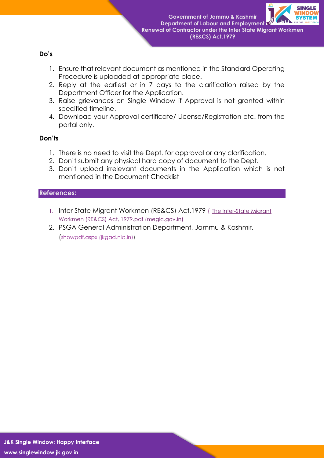

**Government of Jammu & Kashmir Department of Labour and Employment Renewal of Contractor under the Inter State Migrant Workmen (RE&CS) Act,1979**

#### **Do's**

- 1. Ensure that relevant document as mentioned in the Standard Operating Procedure is uploaded at appropriate place.
- 2. Reply at the earliest or in 7 days to the clarification raised by the Department Officer for the Application.
- 3. Raise grievances on Single Window if Approval is not granted within specified timeline.
- 4. Download your Approval certificate/ License/Registration etc. from the portal only.

### **Don'ts**

- 1. There is no need to visit the Dept. for approval or any clarification.
- 2. Don't submit any physical hard copy of document to the Dept.
- 3. Don't upload irrelevant documents in the Application which is not mentioned in the Document Checklist

#### **References:**

- 1. Inter State Migrant Workmen (RE&CS) Act, 1979 (The Inter-State Migrant [Workmen \(RE&CS\) Act, 1979.pdf \(meglc.gov.in\)](https://www.indiacode.nic.in/bitstream/123456789/1989/1/A1996__27.pdf)
- 2. PSGA General Administration Department, Jammu & Kashmir. ([showpdf.aspx \(jkgad.nic.in\)\)](https://jkgad.nic.in/common/showpdf.aspx?actCode=psu76)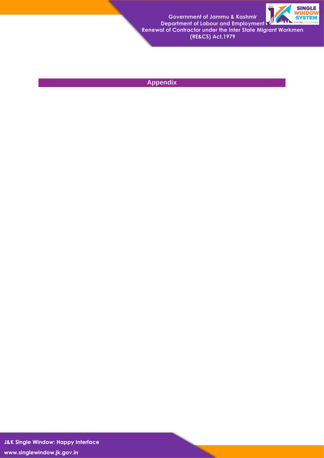

**Government of Jammu & Kashmir Department of Labour and Employment Renewal of Contractor under the Inter State Migrant Workmen (RE&CS) Act,1979**

## **Appendix**

**J&K Single Window: Happy Interface www.singlewindow.jk.gov.in**